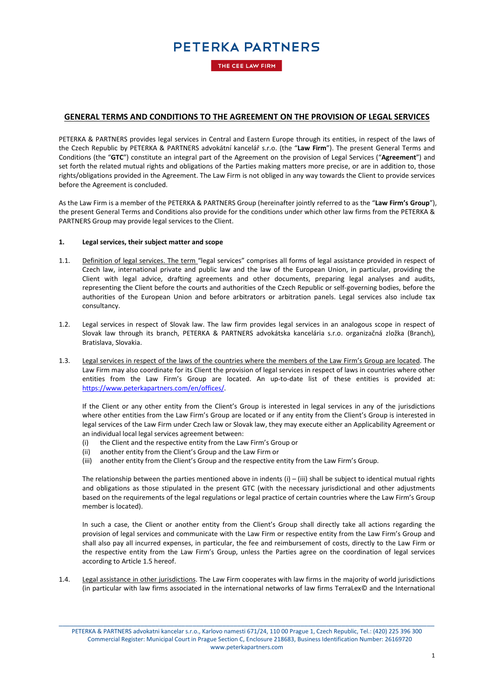THE CEE LAW FIRM

### **GENERAL TERMS AND CONDITIONS TO THE AGREEMENT ON THE PROVISION OF LEGAL SERVICES**

PETERKA & PARTNERS provides legal services in Central and Eastern Europe through its entities, in respect of the laws of the Czech Republic by PETERKA & PARTNERS advokátní kancelář s.r.o. (the "**Law Firm**"). The present General Terms and Conditions (the "**GTC**") constitute an integral part of the Agreement on the provision of Legal Services ("**Agreement**") and set forth the related mutual rights and obligations of the Parties making matters more precise, or are in addition to, those rights/obligations provided in the Agreement. The Law Firm is not obliged in any way towards the Client to provide services before the Agreement is concluded.

As the Law Firm is a member of the PETERKA & PARTNERS Group (hereinafter jointly referred to as the "**Law Firm's Group**"), the present General Terms and Conditions also provide for the conditions under which other law firms from the PETERKA & PARTNERS Group may provide legal services to the Client.

#### **1. Legal services, their subject matter and scope**

- 1.1. Definition of legal services. The term "legal services" comprises all forms of legal assistance provided in respect of Czech law, international private and public law and the law of the European Union, in particular, providing the Client with legal advice, drafting agreements and other documents, preparing legal analyses and audits, representing the Client before the courts and authorities of the Czech Republic or self-governing bodies, before the authorities of the European Union and before arbitrators or arbitration panels. Legal services also include tax consultancy.
- 1.2. Legal services in respect of Slovak law. The law firm provides legal services in an analogous scope in respect of Slovak law through its branch, PETERKA & PARTNERS advokátska kancelária s.r.o. organizačná zložka (Branch), Bratislava, Slovakia.
- <span id="page-0-0"></span>1.3. Legal services in respect of the laws of the countries where the members of the Law Firm's Group are located. The Law Firm may also coordinate for its Client the provision of legal services in respect of laws in countries where other entities from the Law Firm's Group are located. An up-to-date list of these entities is provided at: [https://www.peterkapartners.com/en/offices/.](https://www.peterkapartners.com/en/offices/)

If the Client or any other entity from the Client's Group is interested in legal services in any of the jurisdictions where other entities from the Law Firm's Group are located or if any entity from the Client's Group is interested in legal services of the Law Firm under Czech law or Slovak law, they may execute either an Applicability Agreement or an individual local legal services agreement between:

- (i) the Client and the respective entity from the Law Firm's Group or
- (ii) another entity from the Client's Group and the Law Firm or
- (iii) another entity from the Client's Group and the respective entity from the Law Firm's Group.

The relationship between the parties mentioned above in indents  $(i) - (iii)$  shall be subject to identical mutual rights and obligations as those stipulated in the present GTC (with the necessary jurisdictional and other adjustments based on the requirements of the legal regulations or legal practice of certain countries where the Law Firm's Group member is located).

In such a case, the Client or another entity from the Client's Group shall directly take all actions regarding the provision of legal services and communicate with the Law Firm or respective entity from the Law Firm's Group and shall also pay all incurred expenses, in particular, the fee and reimbursement of costs, directly to the Law Firm or the respective entity from the Law Firm's Group, unless the Parties agree on the coordination of legal services according to Article 1.5 hereof.

<span id="page-0-1"></span>1.4. Legal assistance in other jurisdictions. The Law Firm cooperates with law firms in the majority of world jurisdictions (in particular with law firms associated in the international networks of law firms TerraLex© and the International

\_\_\_\_\_\_\_\_\_\_\_\_\_\_\_\_\_\_\_\_\_\_\_\_\_\_\_\_\_\_\_\_\_\_\_\_\_\_\_\_\_\_\_\_\_\_\_\_\_\_\_\_\_\_\_\_\_\_\_\_\_\_\_\_\_\_\_\_\_\_\_\_\_\_\_\_\_\_\_\_\_\_\_\_\_\_\_\_\_\_\_\_\_\_\_\_\_\_\_\_\_ PETERKA & PARTNERS advokatni kancelar s.r.o., Karlovo namesti 671/24, 110 00 Prague 1, Czech Republic, Tel.: (420) 225 396 300 Commercial Register: Municipal Court in Prague Section C, Enclosure 218683, Business Identification Number: 26169720 www.peterkapartners.com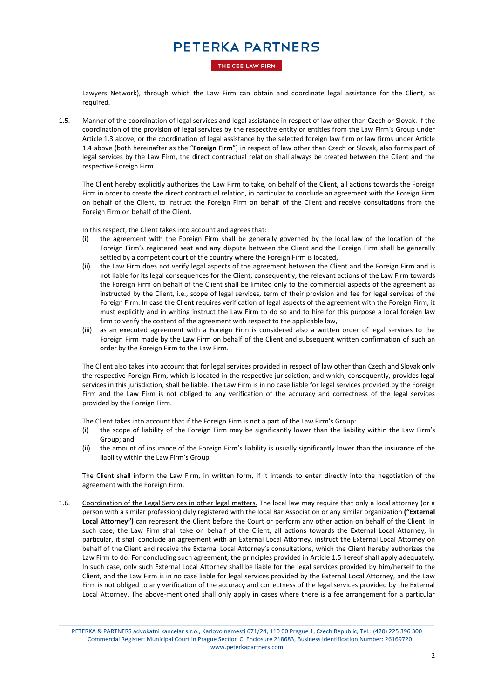### THE CEE LAW FIRM

Lawyers Network), through which the Law Firm can obtain and coordinate legal assistance for the Client, as required.

1.5. Manner of the coordination of legal services and legal assistance in respect of law other than Czech or Slovak. If the coordination of the provision of legal services by the respective entity or entities from the Law Firm's Group under Article [1.3](#page-0-0) above, or the coordination of legal assistance by the selected foreign law firm or law firms under Article [1.4](#page-0-1) above (both hereinafter as the "**Foreign Firm**") in respect of law other than Czech or Slovak, also forms part of legal services by the Law Firm, the direct contractual relation shall always be created between the Client and the respective Foreign Firm.

The Client hereby explicitly authorizes the Law Firm to take, on behalf of the Client, all actions towards the Foreign Firm in order to create the direct contractual relation, in particular to conclude an agreement with the Foreign Firm on behalf of the Client, to instruct the Foreign Firm on behalf of the Client and receive consultations from the Foreign Firm on behalf of the Client.

In this respect, the Client takes into account and agrees that:

- (i) the agreement with the Foreign Firm shall be generally governed by the local law of the location of the Foreign Firm's registered seat and any dispute between the Client and the Foreign Firm shall be generally settled by a competent court of the country where the Foreign Firm is located,
- (ii) the Law Firm does not verify legal aspects of the agreement between the Client and the Foreign Firm and is not liable for its legal consequences for the Client; consequently, the relevant actions of the Law Firm towards the Foreign Firm on behalf of the Client shall be limited only to the commercial aspects of the agreement as instructed by the Client, i.e., scope of legal services, term of their provision and fee for legal services of the Foreign Firm. In case the Client requires verification of legal aspects of the agreement with the Foreign Firm, it must explicitly and in writing instruct the Law Firm to do so and to hire for this purpose a local foreign law firm to verify the content of the agreement with respect to the applicable law,
- (iii) as an executed agreement with a Foreign Firm is considered also a written order of legal services to the Foreign Firm made by the Law Firm on behalf of the Client and subsequent written confirmation of such an order by the Foreign Firm to the Law Firm.

The Client also takes into account that for legal services provided in respect of law other than Czech and Slovak only the respective Foreign Firm, which is located in the respective jurisdiction, and which, consequently, provides legal services in this jurisdiction, shall be liable. The Law Firm is in no case liable for legal services provided by the Foreign Firm and the Law Firm is not obliged to any verification of the accuracy and correctness of the legal services provided by the Foreign Firm.

The Client takes into account that if the Foreign Firm is not a part of the Law Firm's Group:

- (i) the scope of liability of the Foreign Firm may be significantly lower than the liability within the Law Firm's Group; and
- (ii) the amount of insurance of the Foreign Firm's liability is usually significantly lower than the insurance of the liability within the Law Firm's Group.

The Client shall inform the Law Firm, in written form, if it intends to enter directly into the negotiation of the agreement with the Foreign Firm.

1.6. Coordination of the Legal Services in other legal matters. The local law may require that only a local attorney (or a person with a similar profession) duly registered with the local Bar Association or any similar organization **("External Local Attorney")** can represent the Client before the Court or perform any other action on behalf of the Client. In such case, the Law Firm shall take on behalf of the Client, all actions towards the External Local Attorney, in particular, it shall conclude an agreement with an External Local Attorney, instruct the External Local Attorney on behalf of the Client and receive the External Local Attorney's consultations, which the Client hereby authorizes the Law Firm to do. For concluding such agreement, the principles provided in Article 1.5 hereof shall apply adequately. In such case, only such External Local Attorney shall be liable for the legal services provided by him/herself to the Client, and the Law Firm is in no case liable for legal services provided by the External Local Attorney, and the Law Firm is not obliged to any verification of the accuracy and correctness of the legal services provided by the External Local Attorney. The above-mentioned shall only apply in cases where there is a fee arrangement for a particular

\_\_\_\_\_\_\_\_\_\_\_\_\_\_\_\_\_\_\_\_\_\_\_\_\_\_\_\_\_\_\_\_\_\_\_\_\_\_\_\_\_\_\_\_\_\_\_\_\_\_\_\_\_\_\_\_\_\_\_\_\_\_\_\_\_\_\_\_\_\_\_\_\_\_\_\_\_\_\_\_\_\_\_\_\_\_\_\_\_\_\_\_\_\_\_\_\_\_\_\_\_ PETERKA & PARTNERS advokatni kancelar s.r.o., Karlovo namesti 671/24, 110 00 Prague 1, Czech Republic, Tel.: (420) 225 396 300 Commercial Register: Municipal Court in Prague Section C, Enclosure 218683, Business Identification Number: 26169720 www.peterkapartners.com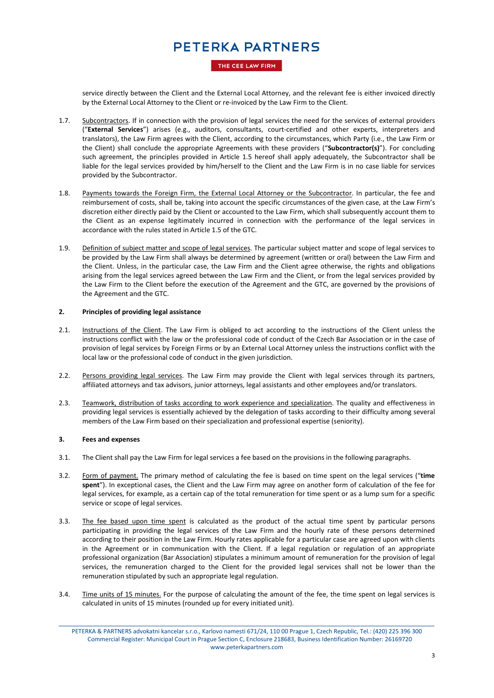### THE CEE LAW FIRM

service directly between the Client and the External Local Attorney, and the relevant fee is either invoiced directly by the External Local Attorney to the Client or re-invoiced by the Law Firm to the Client.

- 1.7. Subcontractors. If in connection with the provision of legal services the need for the services of external providers ("**External Services**") arises (e.g., auditors, consultants, court-certified and other experts, interpreters and translators), the Law Firm agrees with the Client, according to the circumstances, which Party (i.e., the Law Firm or the Client) shall conclude the appropriate Agreements with these providers ("**Subcontractor(s)**"). For concluding such agreement, the principles provided in Article 1.5 hereof shall apply adequately, the Subcontractor shall be liable for the legal services provided by him/herself to the Client and the Law Firm is in no case liable for services provided by the Subcontractor.
- 1.8. Payments towards the Foreign Firm, the External Local Attorney or the Subcontractor. In particular, the fee and reimbursement of costs, shall be, taking into account the specific circumstances of the given case, at the Law Firm's discretion either directly paid by the Client or accounted to the Law Firm, which shall subsequently account them to the Client as an expense legitimately incurred in connection with the performance of the legal services in accordance with the rules stated in Article 1.5 of the GTC.
- 1.9. Definition of subject matter and scope of legal services. The particular subject matter and scope of legal services to be provided by the Law Firm shall always be determined by agreement (written or oral) between the Law Firm and the Client. Unless, in the particular case, the Law Firm and the Client agree otherwise, the rights and obligations arising from the legal services agreed between the Law Firm and the Client, or from the legal services provided by the Law Firm to the Client before the execution of the Agreement and the GTC, are governed by the provisions of the Agreement and the GTC.

### **2. Principles of providing legal assistance**

- 2.1. Instructions of the Client. The Law Firm is obliged to act according to the instructions of the Client unless the instructions conflict with the law or the professional code of conduct of the Czech Bar Association or in the case of provision of legal services by Foreign Firms or by an External Local Attorney unless the instructions conflict with the local law or the professional code of conduct in the given jurisdiction.
- 2.2. Persons providing legal services. The Law Firm may provide the Client with legal services through its partners, affiliated attorneys and tax advisors, junior attorneys, legal assistants and other employees and/or translators.
- 2.3. Teamwork, distribution of tasks according to work experience and specialization. The quality and effectiveness in providing legal services is essentially achieved by the delegation of tasks according to their difficulty among several members of the Law Firm based on their specialization and professional expertise (seniority).

### **3. Fees and expenses**

- 3.1. The Client shall pay the Law Firm for legal services a fee based on the provisions in the following paragraphs.
- 3.2. Form of payment. The primary method of calculating the fee is based on time spent on the legal services ("**time spent**"). In exceptional cases, the Client and the Law Firm may agree on another form of calculation of the fee for legal services, for example, as a certain cap of the total remuneration for time spent or as a lump sum for a specific service or scope of legal services.
- 3.3. The fee based upon time spent is calculated as the product of the actual time spent by particular persons participating in providing the legal services of the Law Firm and the hourly rate of these persons determined according to their position in the Law Firm. Hourly rates applicable for a particular case are agreed upon with clients in the Agreement or in communication with the Client. If a legal regulation or regulation of an appropriate professional organization (Bar Association) stipulates a minimum amount of remuneration for the provision of legal services, the remuneration charged to the Client for the provided legal services shall not be lower than the remuneration stipulated by such an appropriate legal regulation.
- 3.4. Time units of 15 minutes. For the purpose of calculating the amount of the fee, the time spent on legal services is calculated in units of 15 minutes (rounded up for every initiated unit).

\_\_\_\_\_\_\_\_\_\_\_\_\_\_\_\_\_\_\_\_\_\_\_\_\_\_\_\_\_\_\_\_\_\_\_\_\_\_\_\_\_\_\_\_\_\_\_\_\_\_\_\_\_\_\_\_\_\_\_\_\_\_\_\_\_\_\_\_\_\_\_\_\_\_\_\_\_\_\_\_\_\_\_\_\_\_\_\_\_\_\_\_\_\_\_\_\_\_\_\_\_ PETERKA & PARTNERS advokatni kancelar s.r.o., Karlovo namesti 671/24, 110 00 Prague 1, Czech Republic, Tel.: (420) 225 396 300 Commercial Register: Municipal Court in Prague Section C, Enclosure 218683, Business Identification Number: 26169720 www.peterkapartners.com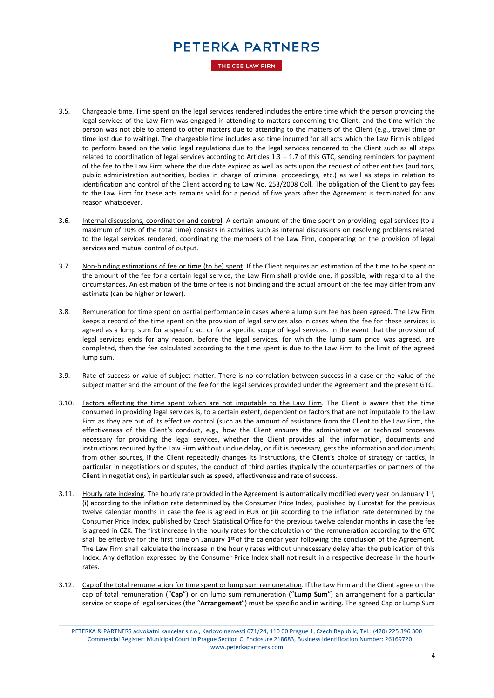THE CEE LAW FIRM

- 3.5. Chargeable time. Time spent on the legal services rendered includes the entire time which the person providing the legal services of the Law Firm was engaged in attending to matters concerning the Client, and the time which the person was not able to attend to other matters due to attending to the matters of the Client (e.g., travel time or time lost due to waiting). The chargeable time includes also time incurred for all acts which the Law Firm is obliged to perform based on the valid legal regulations due to the legal services rendered to the Client such as all steps related to coordination of legal services according to Articles  $1.3 - 1.7$  of this GTC, sending reminders for payment of the fee to the Law Firm where the due date expired as well as acts upon the request of other entities (auditors, public administration authorities, bodies in charge of criminal proceedings, etc.) as well as steps in relation to identification and control of the Client according to Law No. 253/2008 Coll. The obligation of the Client to pay fees to the Law Firm for these acts remains valid for a period of five years after the Agreement is terminated for any reason whatsoever.
- 3.6. Internal discussions, coordination and control. A certain amount of the time spent on providing legal services (to a maximum of 10% of the total time) consists in activities such as internal discussions on resolving problems related to the legal services rendered, coordinating the members of the Law Firm, cooperating on the provision of legal services and mutual control of output.
- 3.7. Non-binding estimations of fee or time (to be) spent. If the Client requires an estimation of the time to be spent or the amount of the fee for a certain legal service, the Law Firm shall provide one, if possible, with regard to all the circumstances. An estimation of the time or fee is not binding and the actual amount of the fee may differ from any estimate (can be higher or lower).
- 3.8. Remuneration for time spent on partial performance in cases where a lump sum fee has been agreed. The Law Firm keeps a record of the time spent on the provision of legal services also in cases when the fee for these services is agreed as a lump sum for a specific act or for a specific scope of legal services. In the event that the provision of legal services ends for any reason, before the legal services, for which the lump sum price was agreed, are completed, then the fee calculated according to the time spent is due to the Law Firm to the limit of the agreed lump sum.
- 3.9. Rate of success or value of subject matter. There is no correlation between success in a case or the value of the subject matter and the amount of the fee for the legal services provided under the Agreement and the present GTC.
- 3.10. Factors affecting the time spent which are not imputable to the Law Firm. The Client is aware that the time consumed in providing legal services is, to a certain extent, dependent on factors that are not imputable to the Law Firm as they are out of its effective control (such as the amount of assistance from the Client to the Law Firm, the effectiveness of the Client's conduct, e.g., how the Client ensures the administrative or technical processes necessary for providing the legal services, whether the Client provides all the information, documents and instructions required by the Law Firm without undue delay, or if it is necessary, gets the information and documents from other sources, if the Client repeatedly changes its instructions, the Client's choice of strategy or tactics, in particular in negotiations or disputes, the conduct of third parties (typically the counterparties or partners of the Client in negotiations), in particular such as speed, effectiveness and rate of success.
- 3.11. Hourly rate indexing. The hourly rate provided in the Agreement is automatically modified every year on January 1st, (i) according to the inflation rate determined by the Consumer Price Index, published by Eurostat for the previous twelve calendar months in case the fee is agreed in EUR or (ii) according to the inflation rate determined by the Consumer Price Index, published by Czech Statistical Office for the previous twelve calendar months in case the fee is agreed in CZK. The first increase in the hourly rates for the calculation of the remuneration according to the GTC shall be effective for the first time on January  $1<sup>st</sup>$  of the calendar year following the conclusion of the Agreement. The Law Firm shall calculate the increase in the hourly rates without unnecessary delay after the publication of this Index. Any deflation expressed by the Consumer Price Index shall not result in a respective decrease in the hourly rates.
- 3.12. Cap of the total remuneration for time spent or lump sum remuneration. If the Law Firm and the Client agree on the cap of total remuneration ("**Cap**") or on lump sum remuneration ("**Lump Sum**") an arrangement for a particular service or scope of legal services (the "**Arrangement**") must be specific and in writing. The agreed Cap or Lump Sum

\_\_\_\_\_\_\_\_\_\_\_\_\_\_\_\_\_\_\_\_\_\_\_\_\_\_\_\_\_\_\_\_\_\_\_\_\_\_\_\_\_\_\_\_\_\_\_\_\_\_\_\_\_\_\_\_\_\_\_\_\_\_\_\_\_\_\_\_\_\_\_\_\_\_\_\_\_\_\_\_\_\_\_\_\_\_\_\_\_\_\_\_\_\_\_\_\_\_\_\_\_ PETERKA & PARTNERS advokatni kancelar s.r.o., Karlovo namesti 671/24, 110 00 Prague 1, Czech Republic, Tel.: (420) 225 396 300 Commercial Register: Municipal Court in Prague Section C, Enclosure 218683, Business Identification Number: 26169720 www.peterkapartners.com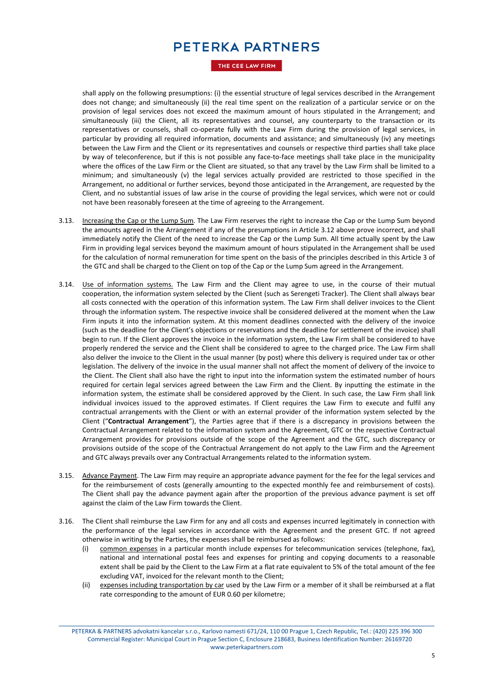THE CEE LAW FIRM

shall apply on the following presumptions: (i) the essential structure of legal services described in the Arrangement does not change; and simultaneously (ii) the real time spent on the realization of a particular service or on the provision of legal services does not exceed the maximum amount of hours stipulated in the Arrangement; and simultaneously (iii) the Client, all its representatives and counsel, any counterparty to the transaction or its representatives or counsels, shall co-operate fully with the Law Firm during the provision of legal services, in particular by providing all required information, documents and assistance; and simultaneously (iv) any meetings between the Law Firm and the Client or its representatives and counsels or respective third parties shall take place by way of teleconference, but if this is not possible any face-to-face meetings shall take place in the municipality where the offices of the Law Firm or the Client are situated, so that any travel by the Law Firm shall be limited to a minimum; and simultaneously (v) the legal services actually provided are restricted to those specified in the Arrangement, no additional or further services, beyond those anticipated in the Arrangement, are requested by the Client, and no substantial issues of law arise in the course of providing the legal services, which were not or could not have been reasonably foreseen at the time of agreeing to the Arrangement.

- 3.13. Increasing the Cap or the Lump Sum. The Law Firm reserves the right to increase the Cap or the Lump Sum beyond the amounts agreed in the Arrangement if any of the presumptions in Article 3.12 above prove incorrect, and shall immediately notify the Client of the need to increase the Cap or the Lump Sum. All time actually spent by the Law Firm in providing legal services beyond the maximum amount of hours stipulated in the Arrangement shall be used for the calculation of normal remuneration for time spent on the basis of the principles described in this Article 3 of the GTC and shall be charged to the Client on top of the Cap or the Lump Sum agreed in the Arrangement.
- 3.14. Use of information systems. The Law Firm and the Client may agree to use, in the course of their mutual cooperation, the information system selected by the Client (such as Serengeti Tracker). The Client shall always bear all costs connected with the operation of this information system. The Law Firm shall deliver invoices to the Client through the information system. The respective invoice shall be considered delivered at the moment when the Law Firm inputs it into the information system. At this moment deadlines connected with the delivery of the invoice (such as the deadline for the Client's objections or reservations and the deadline for settlement of the invoice) shall begin to run. If the Client approves the invoice in the information system, the Law Firm shall be considered to have properly rendered the service and the Client shall be considered to agree to the charged price. The Law Firm shall also deliver the invoice to the Client in the usual manner (by post) where this delivery is required under tax or other legislation. The delivery of the invoice in the usual manner shall not affect the moment of delivery of the invoice to the Client. The Client shall also have the right to input into the information system the estimated number of hours required for certain legal services agreed between the Law Firm and the Client. By inputting the estimate in the information system, the estimate shall be considered approved by the Client. In such case, the Law Firm shall link individual invoices issued to the approved estimates. If Client requires the Law Firm to execute and fulfil any contractual arrangements with the Client or with an external provider of the information system selected by the Client ("**Contractual Arrangement**"), the Parties agree that if there is a discrepancy in provisions between the Contractual Arrangement related to the information system and the Agreement, GTC or the respective Contractual Arrangement provides for provisions outside of the scope of the Agreement and the GTC, such discrepancy or provisions outside of the scope of the Contractual Arrangement do not apply to the Law Firm and the Agreement and GTC always prevails over any Contractual Arrangements related to the information system.
- 3.15. Advance Payment. The Law Firm may require an appropriate advance payment for the fee for the legal services and for the reimbursement of costs (generally amounting to the expected monthly fee and reimbursement of costs). The Client shall pay the advance payment again after the proportion of the previous advance payment is set off against the claim of the Law Firm towards the Client.
- 3.16. The Client shall reimburse the Law Firm for any and all costs and expenses incurred legitimately in connection with the performance of the legal services in accordance with the Agreement and the present GTC. If not agreed otherwise in writing by the Parties, the expenses shall be reimbursed as follows:
	- (i) common expenses in a particular month include expenses for telecommunication services (telephone, fax), national and international postal fees and expenses for printing and copying documents to a reasonable extent shall be paid by the Client to the Law Firm at a flat rate equivalent to 5% of the total amount of the fee excluding VAT, invoiced for the relevant month to the Client;
	- (ii) expenses including transportation by car used by the Law Firm or a member of it shall be reimbursed at a flat rate corresponding to the amount of EUR 0.60 per kilometre;

\_\_\_\_\_\_\_\_\_\_\_\_\_\_\_\_\_\_\_\_\_\_\_\_\_\_\_\_\_\_\_\_\_\_\_\_\_\_\_\_\_\_\_\_\_\_\_\_\_\_\_\_\_\_\_\_\_\_\_\_\_\_\_\_\_\_\_\_\_\_\_\_\_\_\_\_\_\_\_\_\_\_\_\_\_\_\_\_\_\_\_\_\_\_\_\_\_\_\_\_\_ PETERKA & PARTNERS advokatni kancelar s.r.o., Karlovo namesti 671/24, 110 00 Prague 1, Czech Republic, Tel.: (420) 225 396 300 Commercial Register: Municipal Court in Prague Section C, Enclosure 218683, Business Identification Number: 26169720 www.peterkapartners.com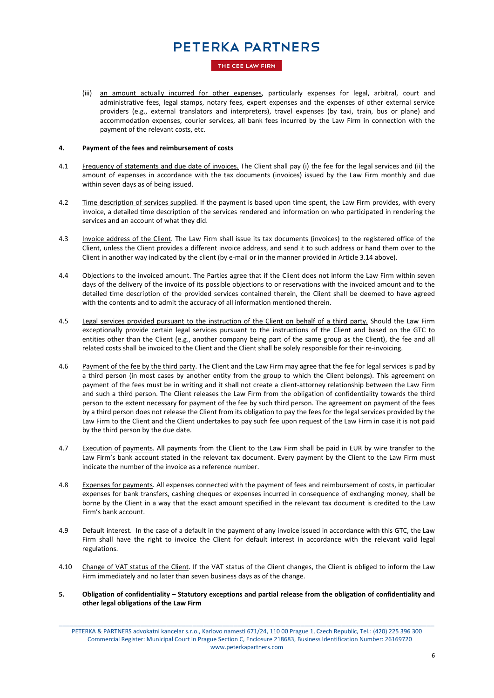THE CEE LAW FIRM

(iii) an amount actually incurred for other expenses, particularly expenses for legal, arbitral, court and administrative fees, legal stamps, notary fees, expert expenses and the expenses of other external service providers (e.g., external translators and interpreters), travel expenses (by taxi, train, bus or plane) and accommodation expenses, courier services, all bank fees incurred by the Law Firm in connection with the payment of the relevant costs, etc.

### **4. Payment of the fees and reimbursement of costs**

- 4.1 Frequency of statements and due date of invoices. The Client shall pay (i) the fee for the legal services and (ii) the amount of expenses in accordance with the tax documents (invoices) issued by the Law Firm monthly and due within seven days as of being issued.
- 4.2 Time description of services supplied. If the payment is based upon time spent, the Law Firm provides, with every invoice, a detailed time description of the services rendered and information on who participated in rendering the services and an account of what they did.
- 4.3 Invoice address of the Client. The Law Firm shall issue its tax documents (invoices) to the registered office of the Client, unless the Client provides a different invoice address, and send it to such address or hand them over to the Client in another way indicated by the client (by e-mail or in the manner provided in Article 3.14 above).
- 4.4 Objections to the invoiced amount. The Parties agree that if the Client does not inform the Law Firm within seven days of the delivery of the invoice of its possible objections to or reservations with the invoiced amount and to the detailed time description of the provided services contained therein, the Client shall be deemed to have agreed with the contents and to admit the accuracy of all information mentioned therein.
- 4.5 Legal services provided pursuant to the instruction of the Client on behalf of a third party. Should the Law Firm exceptionally provide certain legal services pursuant to the instructions of the Client and based on the GTC to entities other than the Client (e.g., another company being part of the same group as the Client), the fee and all related costs shall be invoiced to the Client and the Client shall be solely responsible for their re-invoicing.
- 4.6 Payment of the fee by the third party. The Client and the Law Firm may agree that the fee for legal services is pad by a third person (in most cases by another entity from the group to which the Client belongs). This agreement on payment of the fees must be in writing and it shall not create a client-attorney relationship between the Law Firm and such a third person. The Client releases the Law Firm from the obligation of confidentiality towards the third person to the extent necessary for payment of the fee by such third person. The agreement on payment of the fees by a third person does not release the Client from its obligation to pay the fees for the legal services provided by the Law Firm to the Client and the Client undertakes to pay such fee upon request of the Law Firm in case it is not paid by the third person by the due date.
- 4.7 Execution of payments. All payments from the Client to the Law Firm shall be paid in EUR by wire transfer to the Law Firm's bank account stated in the relevant tax document. Every payment by the Client to the Law Firm must indicate the number of the invoice as a reference number.
- 4.8 Expenses for payments. All expenses connected with the payment of fees and reimbursement of costs, in particular expenses for bank transfers, cashing cheques or expenses incurred in consequence of exchanging money, shall be borne by the Client in a way that the exact amount specified in the relevant tax document is credited to the Law Firm's bank account.
- 4.9 Default interest. In the case of a default in the payment of any invoice issued in accordance with this GTC, the Law Firm shall have the right to invoice the Client for default interest in accordance with the relevant valid legal regulations.
- 4.10 Change of VAT status of the Client. If the VAT status of the Client changes, the Client is obliged to inform the Law Firm immediately and no later than seven business days as of the change.
- **5. Obligation of confidentiality – Statutory exceptions and partial release from the obligation of confidentiality and other legal obligations of the Law Firm**

\_\_\_\_\_\_\_\_\_\_\_\_\_\_\_\_\_\_\_\_\_\_\_\_\_\_\_\_\_\_\_\_\_\_\_\_\_\_\_\_\_\_\_\_\_\_\_\_\_\_\_\_\_\_\_\_\_\_\_\_\_\_\_\_\_\_\_\_\_\_\_\_\_\_\_\_\_\_\_\_\_\_\_\_\_\_\_\_\_\_\_\_\_\_\_\_\_\_\_\_\_ PETERKA & PARTNERS advokatni kancelar s.r.o., Karlovo namesti 671/24, 110 00 Prague 1, Czech Republic, Tel.: (420) 225 396 300 Commercial Register: Municipal Court in Prague Section C, Enclosure 218683, Business Identification Number: 26169720 www.peterkapartners.com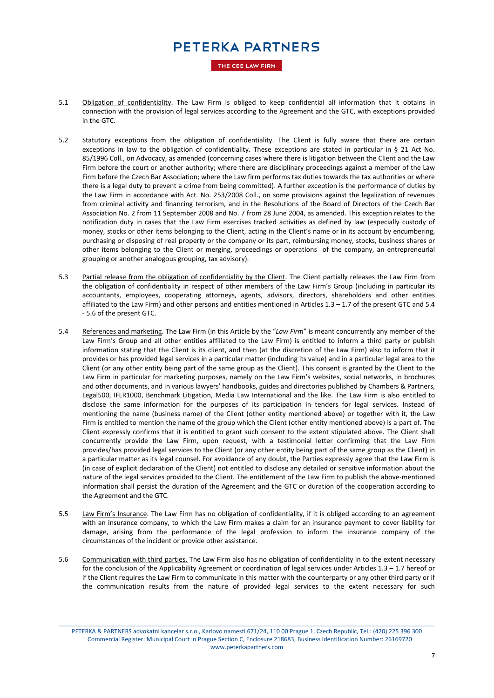THE CEE LAW FIRM

- 5.1 Obligation of confidentiality. The Law Firm is obliged to keep confidential all information that it obtains in connection with the provision of legal services according to the Agreement and the GTC, with exceptions provided in the GTC.
- 5.2 Statutory exceptions from the obligation of confidentiality. The Client is fully aware that there are certain exceptions in law to the obligation of confidentiality. These exceptions are stated in particular in § 21 Act No. 85/1996 Coll., on Advocacy, as amended (concerning cases where there is litigation between the Client and the Law Firm before the court or another authority; where there are disciplinary proceedings against a member of the Law Firm before the Czech Bar Association; where the Law firm performs tax duties towards the tax authorities or where there is a legal duty to prevent a crime from being committed). A further exception is the performance of duties by the Law Firm in accordance with Act. No. 253/2008 Coll., on some provisions against the legalization of revenues from criminal activity and financing terrorism, and in the Resolutions of the Board of Directors of the Czech Bar Association No. 2 from 11 September 2008 and No. 7 from 28 June 2004, as amended. This exception relates to the notification duty in cases that the Law Firm exercises tracked activities as defined by law (especially custody of money, stocks or other items belonging to the Client, acting in the Client's name or in its account by encumbering, purchasing or disposing of real property or the company or its part, reimbursing money, stocks, business shares or other items belonging to the Client or merging, proceedings or operations of the company, an entrepreneurial grouping or another analogous grouping, tax advisory).
- 5.3 Partial release from the obligation of confidentiality by the Client. The Client partially releases the Law Firm from the obligation of confidentiality in respect of other members of the Law Firm's Group (including in particular its accountants, employees, cooperating attorneys, agents, advisors, directors, shareholders and other entities affiliated to the Law Firm) and other persons and entities mentioned in Articles  $1.3 - 1.7$  of the present GTC and 5.4 - 5.6 of the present GTC.
- 5.4 References and marketing. The Law Firm (in this Article by the "*Law Firm*" is meant concurrently any member of the Law Firm's Group and all other entities affiliated to the Law Firm) is entitled to inform a third party or publish information stating that the Client is its client, and then (at the discretion of the Law Firm) also to inform that it provides or has provided legal services in a particular matter (including its value) and in a particular legal area to the Client (or any other entity being part of the same group as the Client). This consent is granted by the Client to the Law Firm in particular for marketing purposes, namely on the Law Firm's websites, social networks, in brochures and other documents, and in various lawyers' handbooks, guides and directories published by Chambers & Partners, Legal500, IFLR1000, Benchmark Litigation, Media Law International and the like. The Law Firm is also entitled to disclose the same information for the purposes of its participation in tenders for legal services. Instead of mentioning the name (business name) of the Client (other entity mentioned above) or together with it, the Law Firm is entitled to mention the name of the group which the Client (other entity mentioned above) is a part of. The Client expressly confirms that it is entitled to grant such consent to the extent stipulated above. The Client shall concurrently provide the Law Firm, upon request, with a testimonial letter confirming that the Law Firm provides/has provided legal services to the Client (or any other entity being part of the same group as the Client) in a particular matter as its legal counsel. For avoidance of any doubt, the Parties expressly agree that the Law Firm is (in case of explicit declaration of the Client) not entitled to disclose any detailed or sensitive information about the nature of the legal services provided to the Client. The entitlement of the Law Firm to publish the above-mentioned information shall persist the duration of the Agreement and the GTC or duration of the cooperation according to the Agreement and the GTC.
- 5.5 Law Firm's Insurance. The Law Firm has no obligation of confidentiality, if it is obliged according to an agreement with an insurance company, to which the Law Firm makes a claim for an insurance payment to cover liability for damage, arising from the performance of the legal profession to inform the insurance company of the circumstances of the incident or provide other assistance.
- 5.6 Communication with third parties. The Law Firm also has no obligation of confidentiality in to the extent necessary for the conclusion of the Applicability Agreement or coordination of legal services under Articles 1.3 – 1.7 hereof or if the Client requires the Law Firm to communicate in this matter with the counterparty or any other third party or if the communication results from the nature of provided legal services to the extent necessary for such

\_\_\_\_\_\_\_\_\_\_\_\_\_\_\_\_\_\_\_\_\_\_\_\_\_\_\_\_\_\_\_\_\_\_\_\_\_\_\_\_\_\_\_\_\_\_\_\_\_\_\_\_\_\_\_\_\_\_\_\_\_\_\_\_\_\_\_\_\_\_\_\_\_\_\_\_\_\_\_\_\_\_\_\_\_\_\_\_\_\_\_\_\_\_\_\_\_\_\_\_\_ PETERKA & PARTNERS advokatni kancelar s.r.o., Karlovo namesti 671/24, 110 00 Prague 1, Czech Republic, Tel.: (420) 225 396 300 Commercial Register: Municipal Court in Prague Section C, Enclosure 218683, Business Identification Number: 26169720 www.peterkapartners.com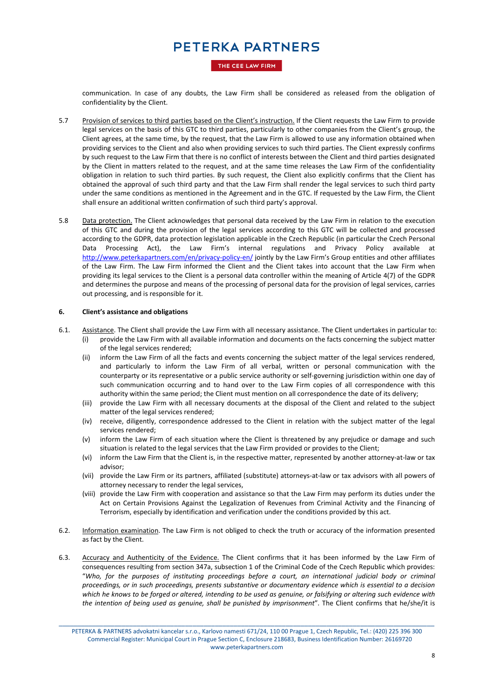#### THE CEE LAW FIRM

communication. In case of any doubts, the Law Firm shall be considered as released from the obligation of confidentiality by the Client.

- 5.7 Provision of services to third parties based on the Client's instruction. If the Client requests the Law Firm to provide legal services on the basis of this GTC to third parties, particularly to other companies from the Client's group, the Client agrees, at the same time, by the request, that the Law Firm is allowed to use any information obtained when providing services to the Client and also when providing services to such third parties. The Client expressly confirms by such request to the Law Firm that there is no conflict of interests between the Client and third parties designated by the Client in matters related to the request, and at the same time releases the Law Firm of the confidentiality obligation in relation to such third parties. By such request, the Client also explicitly confirms that the Client has obtained the approval of such third party and that the Law Firm shall render the legal services to such third party under the same conditions as mentioned in the Agreement and in the GTC. If requested by the Law Firm, the Client shall ensure an additional written confirmation of such third party's approval.
- 5.8 Data protection. The Client acknowledges that personal data received by the Law Firm in relation to the execution of this GTC and during the provision of the legal services according to this GTC will be collected and processed according to the GDPR, data protection legislation applicable in the Czech Republic (in particular the Czech Personal Data Processing Act), the Law Firm's internal regulations and Privacy Policy available at <http://www.peterkapartners.com/en/privacy-policy-en/> jointly by the Law Firm's Group entities and other affiliates of the Law Firm. The Law Firm informed the Client and the Client takes into account that the Law Firm when providing its legal services to the Client is a personal data controller within the meaning of Article 4(7) of the GDPR and determines the purpose and means of the processing of personal data for the provision of legal services, carries out processing, and is responsible for it.

#### **6. Client's assistance and obligations**

- 6.1. Assistance. The Client shall provide the Law Firm with all necessary assistance. The Client undertakes in particular to:
	- (i) provide the Law Firm with all available information and documents on the facts concerning the subject matter of the legal services rendered;
	- (ii) inform the Law Firm of all the facts and events concerning the subject matter of the legal services rendered, and particularly to inform the Law Firm of all verbal, written or personal communication with the counterparty or its representative or a public service authority or self-governing jurisdiction within one day of such communication occurring and to hand over to the Law Firm copies of all correspondence with this authority within the same period; the Client must mention on all correspondence the date of its delivery;
	- (iii) provide the Law Firm with all necessary documents at the disposal of the Client and related to the subject matter of the legal services rendered;
	- (iv) receive, diligently, correspondence addressed to the Client in relation with the subject matter of the legal services rendered;
	- (v) inform the Law Firm of each situation where the Client is threatened by any prejudice or damage and such situation is related to the legal services that the Law Firm provided or provides to the Client;
	- (vi) inform the Law Firm that the Client is, in the respective matter, represented by another attorney-at-law or tax advisor;
	- (vii) provide the Law Firm or its partners, affiliated (substitute) attorneys-at-law or tax advisors with all powers of attorney necessary to render the legal services,
	- (viii) provide the Law Firm with cooperation and assistance so that the Law Firm may perform its duties under the Act on Certain Provisions Against the Legalization of Revenues from Criminal Activity and the Financing of Terrorism, especially by identification and verification under the conditions provided by this act.
- 6.2. Information examination. The Law Firm is not obliged to check the truth or accuracy of the information presented as fact by the Client.
- 6.3. Accuracy and Authenticity of the Evidence. The Client confirms that it has been informed by the Law Firm of consequences resulting from section 347a, subsection 1 of the Criminal Code of the Czech Republic which provides: "*Who, for the purposes of instituting proceedings before a court, an international judicial body or criminal proceedings, or in such proceedings, presents substantive or documentary evidence which is essential to a decision which he knows to be forged or altered, intending to be used as genuine, or falsifying or altering such evidence with the intention of being used as genuine, shall be punished by imprisonment*". The Client confirms that he/she/it is

\_\_\_\_\_\_\_\_\_\_\_\_\_\_\_\_\_\_\_\_\_\_\_\_\_\_\_\_\_\_\_\_\_\_\_\_\_\_\_\_\_\_\_\_\_\_\_\_\_\_\_\_\_\_\_\_\_\_\_\_\_\_\_\_\_\_\_\_\_\_\_\_\_\_\_\_\_\_\_\_\_\_\_\_\_\_\_\_\_\_\_\_\_\_\_\_\_\_\_\_\_ PETERKA & PARTNERS advokatni kancelar s.r.o., Karlovo namesti 671/24, 110 00 Prague 1, Czech Republic, Tel.: (420) 225 396 300 Commercial Register: Municipal Court in Prague Section C, Enclosure 218683, Business Identification Number: 26169720 www.peterkapartners.com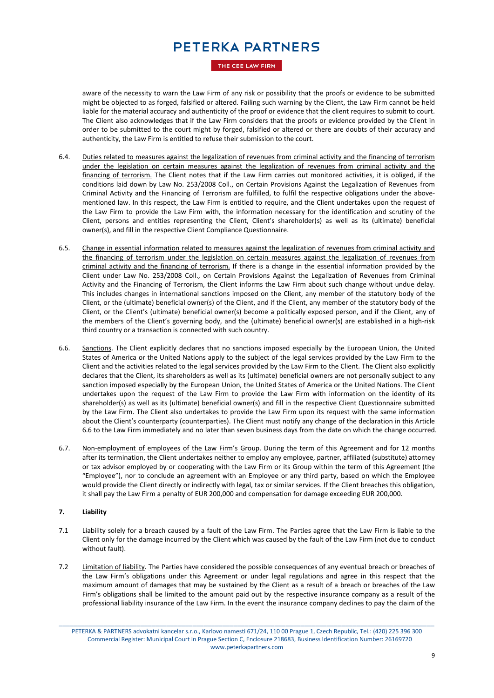THE CEE LAW FIRM

aware of the necessity to warn the Law Firm of any risk or possibility that the proofs or evidence to be submitted might be objected to as forged, falsified or altered. Failing such warning by the Client, the Law Firm cannot be held liable for the material accuracy and authenticity of the proof or evidence that the client requires to submit to court. The Client also acknowledges that if the Law Firm considers that the proofs or evidence provided by the Client in order to be submitted to the court might by forged, falsified or altered or there are doubts of their accuracy and authenticity, the Law Firm is entitled to refuse their submission to the court.

- 6.4. Duties related to measures against the legalization of revenues from criminal activity and the financing of terrorism under the legislation on certain measures against the legalization of revenues from criminal activity and the financing of terrorism. The Client notes that if the Law Firm carries out monitored activities, it is obliged, if the conditions laid down by Law No. 253/2008 Coll., on Certain Provisions Against the Legalization of Revenues from Criminal Activity and the Financing of Terrorism are fulfilled, to fulfil the respective obligations under the abovementioned law. In this respect, the Law Firm is entitled to require, and the Client undertakes upon the request of the Law Firm to provide the Law Firm with, the information necessary for the identification and scrutiny of the Client, persons and entities representing the Client, Client's shareholder(s) as well as its (ultimate) beneficial owner(s), and fill in the respective Client Compliance Questionnaire.
- 6.5. Change in essential information related to measures against the legalization of revenues from criminal activity and the financing of terrorism under the legislation on certain measures against the legalization of revenues from criminal activity and the financing of terrorism. If there is a change in the essential information provided by the Client under Law No. 253/2008 Coll., on Certain Provisions Against the Legalization of Revenues from Criminal Activity and the Financing of Terrorism, the Client informs the Law Firm about such change without undue delay. This includes changes in international sanctions imposed on the Client, any member of the statutory body of the Client, or the (ultimate) beneficial owner(s) of the Client, and if the Client, any member of the statutory body of the Client, or the Client's (ultimate) beneficial owner(s) become a politically exposed person, and if the Client, any of the members of the Client's governing body, and the (ultimate) beneficial owner(s) are established in a high-risk third country or a transaction is connected with such country.
- 6.6. Sanctions. The Client explicitly declares that no sanctions imposed especially by the European Union, the United States of America or the United Nations apply to the subject of the legal services provided by the Law Firm to the Client and the activities related to the legal services provided by the Law Firm to the Client. The Client also explicitly declares that the Client, its shareholders as well as its (ultimate) beneficial owners are not personally subject to any sanction imposed especially by the European Union, the United States of America or the United Nations. The Client undertakes upon the request of the Law Firm to provide the Law Firm with information on the identity of its shareholder(s) as well as its (ultimate) beneficial owner(s) and fill in the respective Client Questionnaire submitted by the Law Firm. The Client also undertakes to provide the Law Firm upon its request with the same information about the Client's counterparty (counterparties). The Client must notify any change of the declaration in this Article 6.6 to the Law Firm immediately and no later than seven business days from the date on which the change occurred.
- 6.7. Non-employment of employees of the Law Firm's Group. During the term of this Agreement and for 12 months after its termination, the Client undertakes neither to employ any employee, partner, affiliated (substitute) attorney or tax advisor employed by or cooperating with the Law Firm or its Group within the term of this Agreement (the "Employee"), nor to conclude an agreement with an Employee or any third party, based on which the Employee would provide the Client directly or indirectly with legal, tax or similar services. If the Client breaches this obligation, it shall pay the Law Firm a penalty of EUR 200,000 and compensation for damage exceeding EUR 200,000.

### **7. Liability**

- 7.1 Liability solely for a breach caused by a fault of the Law Firm. The Parties agree that the Law Firm is liable to the Client only for the damage incurred by the Client which was caused by the fault of the Law Firm (not due to conduct without fault).
- 7.2 Limitation of liability. The Parties have considered the possible consequences of any eventual breach or breaches of the Law Firm's obligations under this Agreement or under legal regulations and agree in this respect that the maximum amount of damages that may be sustained by the Client as a result of a breach or breaches of the Law Firm's obligations shall be limited to the amount paid out by the respective insurance company as a result of the professional liability insurance of the Law Firm. In the event the insurance company declines to pay the claim of the

\_\_\_\_\_\_\_\_\_\_\_\_\_\_\_\_\_\_\_\_\_\_\_\_\_\_\_\_\_\_\_\_\_\_\_\_\_\_\_\_\_\_\_\_\_\_\_\_\_\_\_\_\_\_\_\_\_\_\_\_\_\_\_\_\_\_\_\_\_\_\_\_\_\_\_\_\_\_\_\_\_\_\_\_\_\_\_\_\_\_\_\_\_\_\_\_\_\_\_\_\_ PETERKA & PARTNERS advokatni kancelar s.r.o., Karlovo namesti 671/24, 110 00 Prague 1, Czech Republic, Tel.: (420) 225 396 300 Commercial Register: Municipal Court in Prague Section C, Enclosure 218683, Business Identification Number: 26169720 www.peterkapartners.com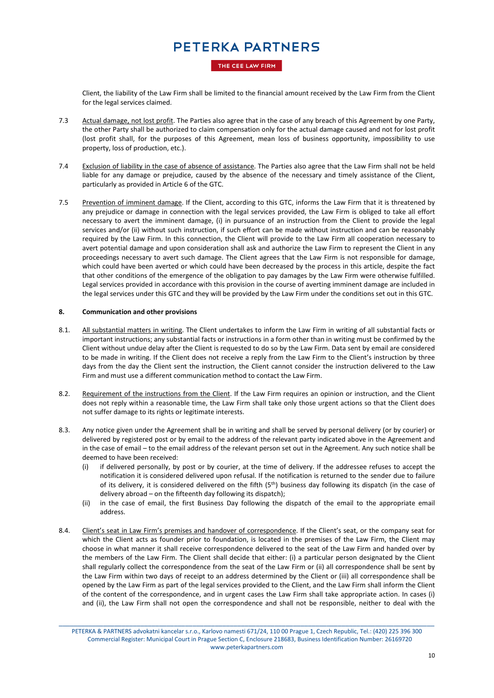THE CEE LAW FIRM

Client, the liability of the Law Firm shall be limited to the financial amount received by the Law Firm from the Client for the legal services claimed.

- 7.3 Actual damage, not lost profit. The Parties also agree that in the case of any breach of this Agreement by one Party, the other Party shall be authorized to claim compensation only for the actual damage caused and not for lost profit (lost profit shall, for the purposes of this Agreement, mean loss of business opportunity, impossibility to use property, loss of production, etc.).
- 7.4 Exclusion of liability in the case of absence of assistance. The Parties also agree that the Law Firm shall not be held liable for any damage or prejudice, caused by the absence of the necessary and timely assistance of the Client, particularly as provided in Article 6 of the GTC.
- 7.5 Prevention of imminent damage. If the Client, according to this GTC, informs the Law Firm that it is threatened by any prejudice or damage in connection with the legal services provided, the Law Firm is obliged to take all effort necessary to avert the imminent damage, (i) in pursuance of an instruction from the Client to provide the legal services and/or (ii) without such instruction, if such effort can be made without instruction and can be reasonably required by the Law Firm. In this connection, the Client will provide to the Law Firm all cooperation necessary to avert potential damage and upon consideration shall ask and authorize the Law Firm to represent the Client in any proceedings necessary to avert such damage. The Client agrees that the Law Firm is not responsible for damage, which could have been averted or which could have been decreased by the process in this article, despite the fact that other conditions of the emergence of the obligation to pay damages by the Law Firm were otherwise fulfilled. Legal services provided in accordance with this provision in the course of averting imminent damage are included in the legal services under this GTC and they will be provided by the Law Firm under the conditions set out in this GTC.

### **8. Communication and other provisions**

- 8.1. All substantial matters in writing. The Client undertakes to inform the Law Firm in writing of all substantial facts or important instructions; any substantial facts or instructions in a form other than in writing must be confirmed by the Client without undue delay after the Client is requested to do so by the Law Firm. Data sent by email are considered to be made in writing. If the Client does not receive a reply from the Law Firm to the Client's instruction by three days from the day the Client sent the instruction, the Client cannot consider the instruction delivered to the Law Firm and must use a different communication method to contact the Law Firm.
- 8.2. Requirement of the instructions from the Client. If the Law Firm requires an opinion or instruction, and the Client does not reply within a reasonable time, the Law Firm shall take only those urgent actions so that the Client does not suffer damage to its rights or legitimate interests.
- 8.3. Any notice given under the Agreement shall be in writing and shall be served by personal delivery (or by courier) or delivered by registered post or by email to the address of the relevant party indicated above in the Agreement and in the case of email – to the email address of the relevant person set out in the Agreement. Any such notice shall be deemed to have been received:
	- (i) if delivered personally, by post or by courier, at the time of delivery. If the addressee refuses to accept the notification it is considered delivered upon refusal. If the notification is returned to the sender due to failure of its delivery, it is considered delivered on the fifth (5th) business day following its dispatch (in the case of delivery abroad – on the fifteenth day following its dispatch);
	- (ii) in the case of email, the first Business Day following the dispatch of the email to the appropriate email address.
- 8.4. Client's seat in Law Firm's premises and handover of correspondence. If the Client's seat, or the company seat for which the Client acts as founder prior to foundation, is located in the premises of the Law Firm, the Client may choose in what manner it shall receive correspondence delivered to the seat of the Law Firm and handed over by the members of the Law Firm. The Client shall decide that either: (i) a particular person designated by the Client shall regularly collect the correspondence from the seat of the Law Firm or (ii) all correspondence shall be sent by the Law Firm within two days of receipt to an address determined by the Client or (iii) all correspondence shall be opened by the Law Firm as part of the legal services provided to the Client, and the Law Firm shall inform the Client of the content of the correspondence, and in urgent cases the Law Firm shall take appropriate action. In cases (i) and (ii), the Law Firm shall not open the correspondence and shall not be responsible, neither to deal with the

\_\_\_\_\_\_\_\_\_\_\_\_\_\_\_\_\_\_\_\_\_\_\_\_\_\_\_\_\_\_\_\_\_\_\_\_\_\_\_\_\_\_\_\_\_\_\_\_\_\_\_\_\_\_\_\_\_\_\_\_\_\_\_\_\_\_\_\_\_\_\_\_\_\_\_\_\_\_\_\_\_\_\_\_\_\_\_\_\_\_\_\_\_\_\_\_\_\_\_\_\_ PETERKA & PARTNERS advokatni kancelar s.r.o., Karlovo namesti 671/24, 110 00 Prague 1, Czech Republic, Tel.: (420) 225 396 300 Commercial Register: Municipal Court in Prague Section C, Enclosure 218683, Business Identification Number: 26169720 www.peterkapartners.com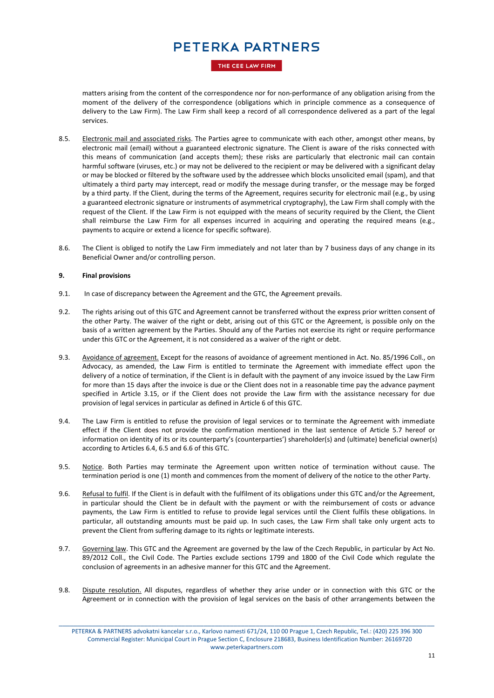THE CEE LAW FIRM

matters arising from the content of the correspondence nor for non-performance of any obligation arising from the moment of the delivery of the correspondence (obligations which in principle commence as a consequence of delivery to the Law Firm). The Law Firm shall keep a record of all correspondence delivered as a part of the legal services.

- 8.5. Electronic mail and associated risks. The Parties agree to communicate with each other, amongst other means, by electronic mail (email) without a guaranteed electronic signature. The Client is aware of the risks connected with this means of communication (and accepts them); these risks are particularly that electronic mail can contain harmful software (viruses, etc.) or may not be delivered to the recipient or may be delivered with a significant delay or may be blocked or filtered by the software used by the addressee which blocks unsolicited email (spam), and that ultimately a third party may intercept, read or modify the message during transfer, or the message may be forged by a third party. If the Client, during the terms of the Agreement, requires security for electronic mail (e.g., by using a guaranteed electronic signature or instruments of asymmetrical cryptography), the Law Firm shall comply with the request of the Client. If the Law Firm is not equipped with the means of security required by the Client, the Client shall reimburse the Law Firm for all expenses incurred in acquiring and operating the required means (e.g., payments to acquire or extend a licence for specific software).
- 8.6. The Client is obliged to notify the Law Firm immediately and not later than by 7 business days of any change in its Beneficial Owner and/or controlling person.

### **9. Final provisions**

- 9.1. In case of discrepancy between the Agreement and the GTC, the Agreement prevails.
- 9.2. The rights arising out of this GTC and Agreement cannot be transferred without the express prior written consent of the other Party. The waiver of the right or debt, arising out of this GTC or the Agreement, is possible only on the basis of a written agreement by the Parties. Should any of the Parties not exercise its right or require performance under this GTC or the Agreement, it is not considered as a waiver of the right or debt.
- 9.3. Avoidance of agreement. Except for the reasons of avoidance of agreement mentioned in Act. No. 85/1996 Coll., on Advocacy, as amended, the Law Firm is entitled to terminate the Agreement with immediate effect upon the delivery of a notice of termination, if the Client is in default with the payment of any invoice issued by the Law Firm for more than 15 days after the invoice is due or the Client does not in a reasonable time pay the advance payment specified in Article 3.15, or if the Client does not provide the Law firm with the assistance necessary for due provision of legal services in particular as defined in Article 6 of this GTC.
- 9.4. The Law Firm is entitled to refuse the provision of legal services or to terminate the Agreement with immediate effect if the Client does not provide the confirmation mentioned in the last sentence of Article 5.7 hereof or information on identity of its or its counterparty's (counterparties') shareholder(s) and (ultimate) beneficial owner(s) according to Articles 6.4, 6.5 and 6.6 of this GTC.
- 9.5. Notice. Both Parties may terminate the Agreement upon written notice of termination without cause. The termination period is one (1) month and commences from the moment of delivery of the notice to the other Party.
- 9.6. Refusal to fulfil. If the Client is in default with the fulfilment of its obligations under this GTC and/or the Agreement, in particular should the Client be in default with the payment or with the reimbursement of costs or advance payments, the Law Firm is entitled to refuse to provide legal services until the Client fulfils these obligations. In particular, all outstanding amounts must be paid up. In such cases, the Law Firm shall take only urgent acts to prevent the Client from suffering damage to its rights or legitimate interests.
- 9.7. Governing law. This GTC and the Agreement are governed by the law of the Czech Republic, in particular by Act No. 89/2012 Coll., the Civil Code. The Parties exclude sections 1799 and 1800 of the Civil Code which regulate the conclusion of agreements in an adhesive manner for this GTC and the Agreement.
- 9.8. Dispute resolution. All disputes, regardless of whether they arise under or in connection with this GTC or the Agreement or in connection with the provision of legal services on the basis of other arrangements between the

\_\_\_\_\_\_\_\_\_\_\_\_\_\_\_\_\_\_\_\_\_\_\_\_\_\_\_\_\_\_\_\_\_\_\_\_\_\_\_\_\_\_\_\_\_\_\_\_\_\_\_\_\_\_\_\_\_\_\_\_\_\_\_\_\_\_\_\_\_\_\_\_\_\_\_\_\_\_\_\_\_\_\_\_\_\_\_\_\_\_\_\_\_\_\_\_\_\_\_\_\_

PETERKA & PARTNERS advokatni kancelar s.r.o., Karlovo namesti 671/24, 110 00 Prague 1, Czech Republic, Tel.: (420) 225 396 300 Commercial Register: Municipal Court in Prague Section C, Enclosure 218683, Business Identification Number: 26169720 www.peterkapartners.com